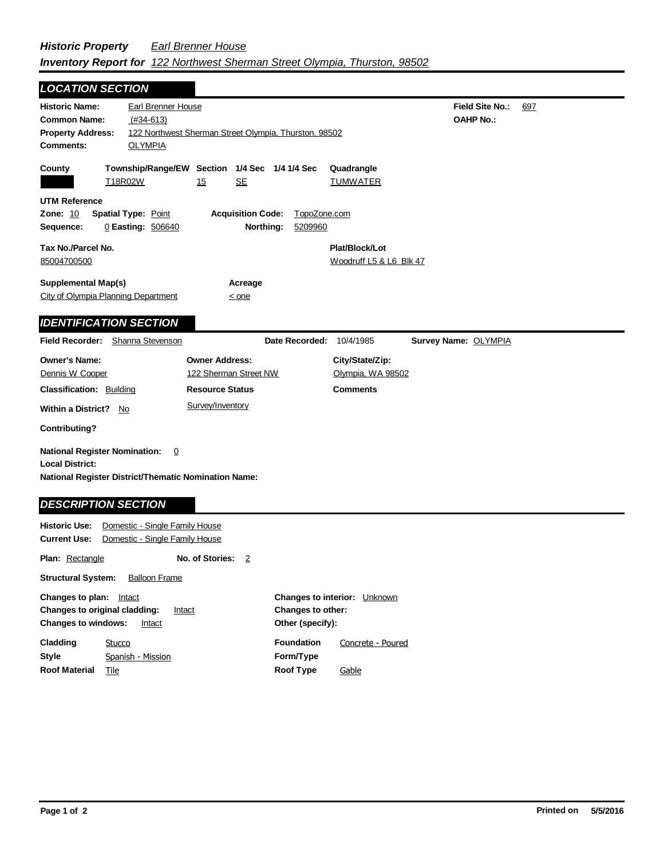## *Historic Property Earl Brenner House Inventory Report for 122 Northwest Sherman Street Olympia, Thurston, 98502*

| <b>LOCATION SECTION</b>                                                                                                       |                                                       |                          |                      |                               |                        |     |
|-------------------------------------------------------------------------------------------------------------------------------|-------------------------------------------------------|--------------------------|----------------------|-------------------------------|------------------------|-----|
| <b>Historic Name:</b>                                                                                                         | Earl Brenner House                                    |                          |                      |                               | <b>Field Site No.:</b> | 697 |
| <b>Common Name:</b>                                                                                                           | $(#34-613)$                                           |                          |                      |                               | <b>OAHP No.:</b>       |     |
| <b>Property Address:</b>                                                                                                      | 122 Northwest Sherman Street Olympia, Thurston, 98502 |                          |                      |                               |                        |     |
| <b>Comments:</b>                                                                                                              | <b>OLYMPIA</b>                                        |                          |                      |                               |                        |     |
| County<br>T18R02W                                                                                                             | Township/Range/EW Section 1/4 Sec 1/4 1/4 Sec         | <b>SE</b><br>15          |                      | Quadrangle<br><b>TUMWATER</b> |                        |     |
| <b>UTM Reference</b>                                                                                                          |                                                       |                          |                      |                               |                        |     |
| <b>Zone: 10</b>                                                                                                               | <b>Spatial Type: Point</b>                            | <b>Acquisition Code:</b> |                      | TopoZone.com                  |                        |     |
| Sequence:                                                                                                                     | 0 Easting: 506640                                     |                          | Northing:<br>5209960 |                               |                        |     |
| Tax No./Parcel No.                                                                                                            |                                                       |                          |                      | Plat/Block/Lot                |                        |     |
| 85004700500                                                                                                                   |                                                       |                          |                      | Woodruff L5 & L6 Blk 47       |                        |     |
|                                                                                                                               |                                                       |                          |                      |                               |                        |     |
| <b>Supplemental Map(s)</b><br>City of Olympia Planning Department                                                             |                                                       | Acreage<br>$\leq$ one    |                      |                               |                        |     |
|                                                                                                                               |                                                       |                          |                      |                               |                        |     |
| <b>IDENTIFICATION SECTION</b>                                                                                                 |                                                       |                          |                      |                               |                        |     |
| <b>Field Recorder:</b> Shanna Stevenson                                                                                       |                                                       |                          | Date Recorded:       | 10/4/1985                     | Survey Name: OLYMPIA   |     |
|                                                                                                                               |                                                       |                          |                      |                               |                        |     |
| <b>Owner's Name:</b>                                                                                                          |                                                       | <b>Owner Address:</b>    |                      | City/State/Zip:               |                        |     |
| Dennis W Cooper                                                                                                               |                                                       | 122 Sherman Street NW    |                      | Olympia, WA 98502             |                        |     |
| <b>Classification: Building</b>                                                                                               |                                                       | <b>Resource Status</b>   |                      | <b>Comments</b>               |                        |     |
| Within a District? No                                                                                                         |                                                       | Survey/Inventory         |                      |                               |                        |     |
| <b>Contributing?</b>                                                                                                          |                                                       |                          |                      |                               |                        |     |
| <b>National Register Nomination:</b><br><b>Local District:</b><br><b>National Register District/Thematic Nomination Name:</b> | 0                                                     |                          |                      |                               |                        |     |
| <b>DESCRIPTION SECTION</b>                                                                                                    |                                                       |                          |                      |                               |                        |     |

**Plan:** Rectangle **No. of Stories:** 2

**Structural System:** Balloon Frame

| Changes to plan:                     | Intact                                  |                          | <b>Changes to interior:</b> Unknown |  |
|--------------------------------------|-----------------------------------------|--------------------------|-------------------------------------|--|
|                                      | Changes to original cladding:<br>Intact | <b>Changes to other:</b> |                                     |  |
| <b>Changes to windows:</b><br>Intact |                                         | Other (specify):         |                                     |  |
| Cladding                             | Stucco                                  | <b>Foundation</b>        | Concrete - Poured                   |  |
| Style                                | Spanish - Mission                       | Form/Type                |                                     |  |
| <b>Roof Material</b>                 | Tile                                    | Roof Type                | Gable                               |  |